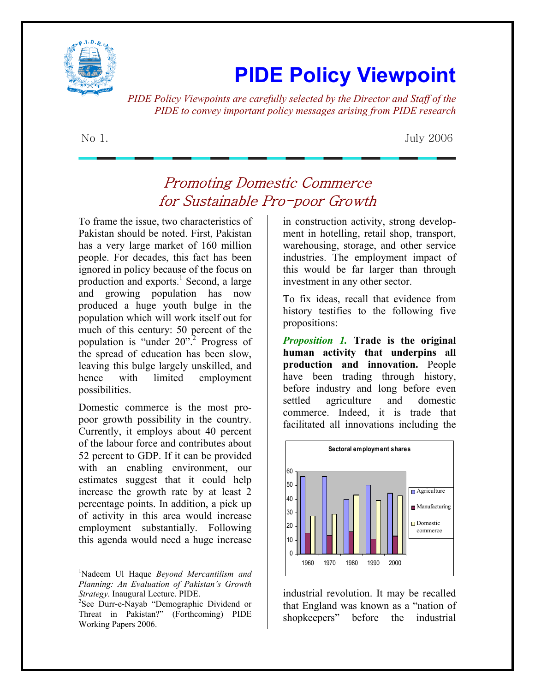

## **PIDE Policy Viewpoint**

*PIDE Policy Viewpoints are carefully selected by the Director and Staff of the PIDE to convey important policy messages arising from PIDE research*

No 1. July 2006

## Promoting Domestic Commerce for Sustainable Pro-poor Growth

To frame the issue, two characteristics of Pakistan should be noted. First, Pakistan has a very large market of 160 million people. For decades, this fact has been ignored in policy because of the focus on production and  $\epsilon$ xports.<sup>1</sup> Second, a large and growing population has now produced a huge youth bulge in the population which will work itself out for much of this century: 50 percent of the population is "under 20".<sup>2</sup> Progress of the spread of education has been slow, leaving this bulge largely unskilled, and hence with limited employment possibilities.

Domestic commerce is the most propoor growth possibility in the country. Currently, it employs about 40 percent of the labour force and contributes about 52 percent to GDP. If it can be provided with an enabling environment, our estimates suggest that it could help increase the growth rate by at least 2 percentage points. In addition, a pick up of activity in this area would increase employment substantially. Following this agenda would need a huge increase

 $\overline{a}$ 

in construction activity, strong development in hotelling, retail shop, transport, warehousing, storage, and other service industries. The employment impact of this would be far larger than through investment in any other sector.

To fix ideas, recall that evidence from history testifies to the following five propositions:

*Proposition 1.* **Trade is the original human activity that underpins all production and innovation.** People have been trading through history, before industry and long before even settled agriculture and domestic commerce. Indeed, it is trade that facilitated all innovations including the



industrial revolution. It may be recalled that England was known as a "nation of shopkeepers" before the industrial

<sup>1</sup> Nadeem Ul Haque *Beyond Mercantilism and Planning: An Evaluation of Pakistan's Growth Strategy*. Inaugural Lecture. PIDE.

<sup>&</sup>lt;sup>2</sup>See Durr-e-Nayab "Demographic Dividend or Threat in Pakistan?" (Forthcoming) PIDE Working Papers 2006.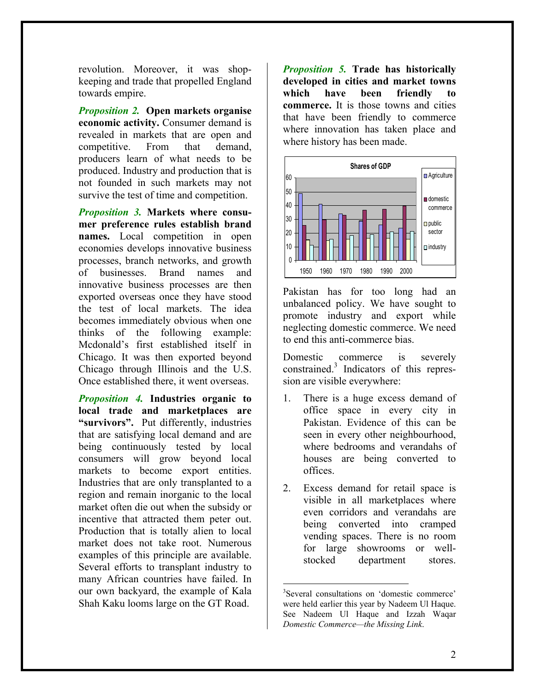revolution. Moreover, it was shopkeeping and trade that propelled England towards empire.

*Proposition 2.* **Open markets organise economic activity.** Consumer demand is revealed in markets that are open and competitive. From that demand, producers learn of what needs to be produced. Industry and production that is not founded in such markets may not survive the test of time and competition.

*Proposition 3.* **Markets where consumer preference rules establish brand names.** Local competition in open economies develops innovative business processes, branch networks, and growth of businesses. Brand names and innovative business processes are then exported overseas once they have stood the test of local markets. The idea becomes immediately obvious when one thinks of the following example: Mcdonald's first established itself in Chicago. It was then exported beyond Chicago through Illinois and the U.S. Once established there, it went overseas.

*Proposition 4.* **Industries organic to local trade and marketplaces are "survivors".** Put differently, industries that are satisfying local demand and are being continuously tested by local consumers will grow beyond local markets to become export entities. Industries that are only transplanted to a region and remain inorganic to the local market often die out when the subsidy or incentive that attracted them peter out. Production that is totally alien to local market does not take root. Numerous examples of this principle are available. Several efforts to transplant industry to many African countries have failed. In our own backyard, the example of Kala Shah Kaku looms large on the GT Road.

*Proposition 5.* **Trade has historically developed in cities and market towns which have been friendly to commerce.** It is those towns and cities that have been friendly to commerce where innovation has taken place and where history has been made.



Pakistan has for too long had an unbalanced policy. We have sought to promote industry and export while neglecting domestic commerce. We need to end this anti-commerce bias.

Domestic commerce is severely constrained.<sup>3</sup> Indicators of this repression are visible everywhere:

- 1. There is a huge excess demand of office space in every city in Pakistan. Evidence of this can be seen in every other neighbourhood, where bedrooms and verandahs of houses are being converted to offices.
- 2. Excess demand for retail space is visible in all marketplaces where even corridors and verandahs are being converted into cramped vending spaces. There is no room for large showrooms or wellstocked department stores.

 $\overline{a}$ 

<sup>3</sup> Several consultations on 'domestic commerce' were held earlier this year by Nadeem Ul Haque. See Nadeem Ul Haque and Izzah Waqar *Domestic Commerce—the Missing Link*.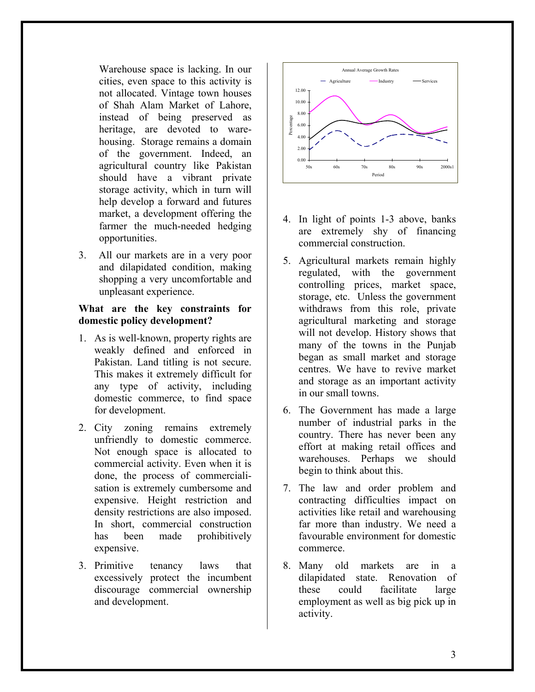Warehouse space is lacking. In our cities, even space to this activity is not allocated. Vintage town houses of Shah Alam Market of Lahore, instead of being preserved as heritage, are devoted to warehousing. Storage remains a domain of the government. Indeed, an agricultural country like Pakistan should have a vibrant private storage activity, which in turn will help develop a forward and futures market, a development offering the farmer the much-needed hedging opportunities.

3. All our markets are in a very poor and dilapidated condition, making shopping a very uncomfortable and unpleasant experience.

## **What are the key constraints for domestic policy development?**

- 1. As is well-known, property rights are weakly defined and enforced in Pakistan. Land titling is not secure. This makes it extremely difficult for any type of activity, including domestic commerce, to find space for development.
- 2. City zoning remains extremely unfriendly to domestic commerce. Not enough space is allocated to commercial activity. Even when it is done, the process of commercialisation is extremely cumbersome and expensive. Height restriction and density restrictions are also imposed. In short, commercial construction has been made prohibitively expensive.
- 3. Primitive tenancy laws that excessively protect the incumbent discourage commercial ownership and development.



- 4. In light of points 1-3 above, banks are extremely shy of financing commercial construction.
- 5. Agricultural markets remain highly regulated, with the government controlling prices, market space, storage, etc. Unless the government withdraws from this role, private agricultural marketing and storage will not develop. History shows that many of the towns in the Punjab began as small market and storage centres. We have to revive market and storage as an important activity in our small towns.
- 6. The Government has made a large number of industrial parks in the country. There has never been any effort at making retail offices and warehouses. Perhaps we should begin to think about this.
- 7. The law and order problem and contracting difficulties impact on activities like retail and warehousing far more than industry. We need a favourable environment for domestic commerce.
- 8. Many old markets are in a dilapidated state. Renovation of these could facilitate large employment as well as big pick up in activity.